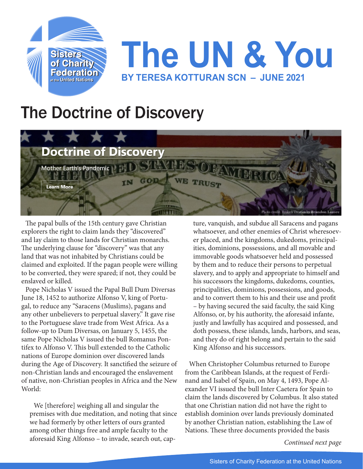

## **The UN & You BY TERESA KOTTURAN SCN – JUNE 2021**

## The Doctrine of Discovery



The papal bulls of the 15th century gave Christian explorers the right to claim lands they "discovered" and lay claim to those lands for Christian monarchs. The underlying clause for "discovery" was that any land that was not inhabited by Christians could be claimed and exploited. If the pagan people were willing to be converted, they were spared; if not, they could be enslaved or killed.

Pope Nicholas V issued the Papal Bull Dum Diversas June 18, 1452 to authorize Alfonso V, king of Portugal, to reduce any "Saracens (Muslims), pagans and any other unbelievers to perpetual slavery." It gave rise to the Portuguese slave trade from West Africa. As a follow-up to Dum Diversas, on January 5, 1455, the same Pope Nicholas V issued the bull Romanus Pontifex to Alfonso V. This bull extended to the Catholic nations of Europe dominion over discovered lands during the Age of Discovery. It sanctified the seizure of non-Christian lands and encouraged the enslavement of native, non-Christian peoples in Africa and the New World:

We [therefore] weighing all and singular the premises with due meditation, and noting that since we had formerly by other letters of ours granted among other things free and ample faculty to the aforesaid King Alfonso – to invade, search out, cap-

ture, vanquish, and subdue all Saracens and pagans whatsoever, and other enemies of Christ wheresoever placed, and the kingdoms, dukedoms, principalities, dominions, possessions, and all movable and immovable goods whatsoever held and possessed by them and to reduce their persons to perpetual slavery, and to apply and appropriate to himself and his successors the kingdoms, dukedoms, counties, principalities, dominions, possessions, and goods, and to convert them to his and their use and profit – by having secured the said faculty, the said King Alfonso, or, by his authority, the aforesaid infante, justly and lawfully has acquired and possessed, and doth possess, these islands, lands, harbors, and seas, and they do of right belong and pertain to the said King Alfonso and his successors.

When Christopher Columbus returned to Europe from the Caribbean Islands, at the request of Ferdinand and Isabel of Spain, on May 4, 1493, Pope Alexander VI issued the bull Inter Caetera for Spain to claim the lands discovered by Columbus. It also stated that one Christian nation did not have the right to establish dominion over lands previously dominated by another Christian nation, establishing the Law of Nations. These three documents provided the basis

*Continued next page*